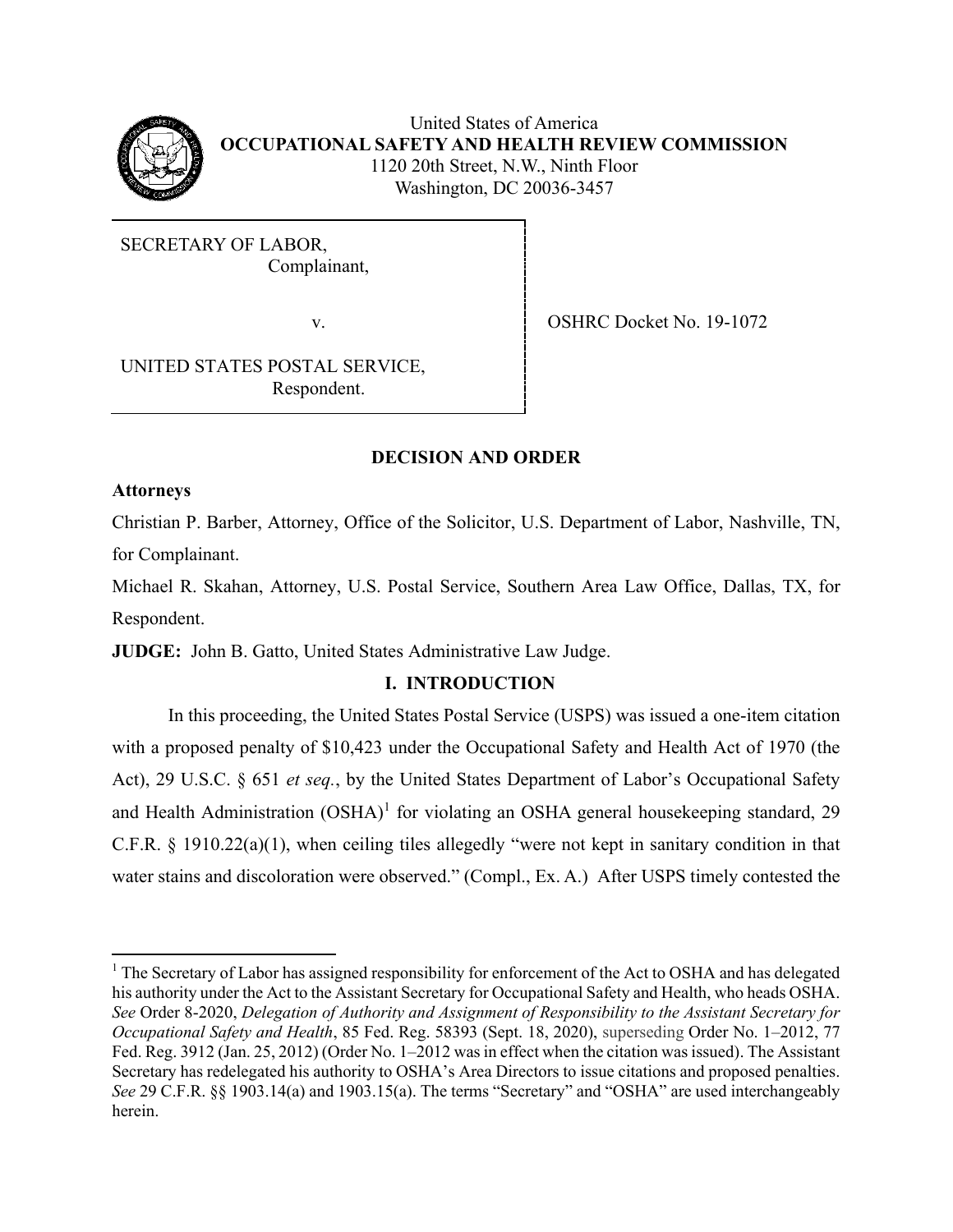

United States of America **OCCUPATIONAL SAFETY AND HEALTH REVIEW COMMISSION** 1120 20th Street, N.W., Ninth Floor Washington, DC 20036-3457

SECRETARY OF LABOR, Complainant,

v. SHRC Docket No. 19-1072

UNITED STATES POSTAL SERVICE, Respondent.

# **DECISION AND ORDER**

### **Attorneys**

Christian P. Barber, Attorney, Office of the Solicitor, U.S. Department of Labor, Nashville, TN, for Complainant.

Michael R. Skahan, Attorney, U.S. Postal Service, Southern Area Law Office, Dallas, TX, for Respondent.

**JUDGE:** John B. Gatto, United States Administrative Law Judge.

## **I. INTRODUCTION**

In this proceeding, the United States Postal Service (USPS) was issued a one-item citation with a proposed penalty of \$10,423 under the Occupational Safety and Health Act of 1970 (the Act), 29 U.S.C. § 651 *et seq.*, by the United States Department of Labor's Occupational Safety and Health Administration (OSHA)<sup>1</sup> for violating an OSHA general housekeeping standard, 29 C.F.R. § 1910.22(a)(1), when ceiling tiles allegedly "were not kept in sanitary condition in that water stains and discoloration were observed." (Compl., Ex. A.) After USPS timely contested the

<sup>&</sup>lt;sup>1</sup> The Secretary of Labor has assigned responsibility for enforcement of the Act to OSHA and has delegated his authority under the Act to the Assistant Secretary for Occupational Safety and Health, who heads OSHA. *See* Order 8-2020, *Delegation of Authority and Assignment of Responsibility to the Assistant Secretary for Occupational Safety and Health*, 85 Fed. Reg. 58393 (Sept. 18, 2020), superseding Order No. 1–2012, 77 Fed. Reg. 3912 (Jan. 25, 2012) (Order No. 1–2012 was in effect when the citation was issued). The Assistant Secretary has redelegated his authority to OSHA's Area Directors to issue citations and proposed penalties. *See* 29 C.F.R. §§ 1903.14(a) and 1903.15(a). The terms "Secretary" and "OSHA" are used interchangeably herein.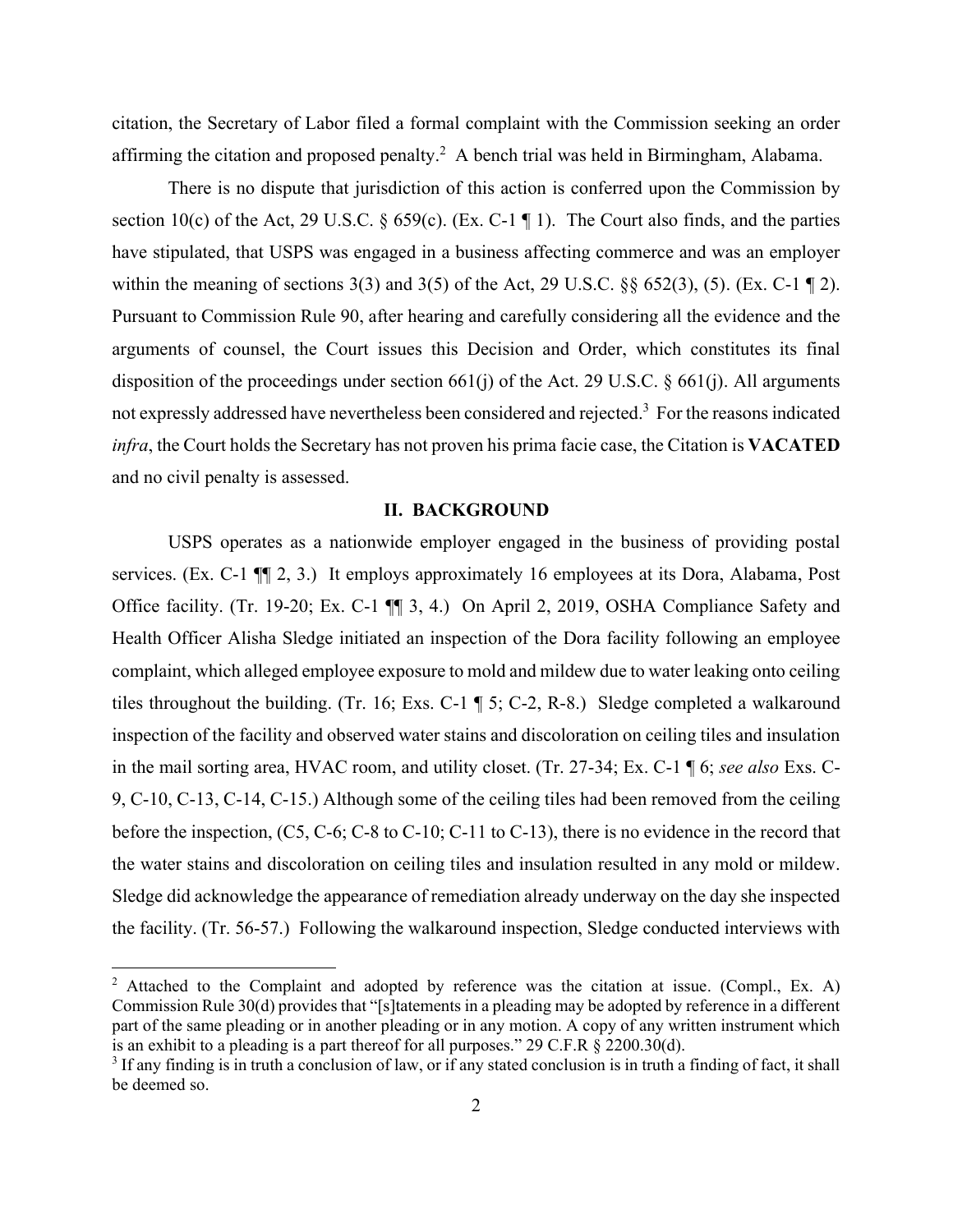citation, the Secretary of Labor filed a formal complaint with the Commission seeking an order affirming the citation and proposed penalty.<sup>2</sup> A bench trial was held in Birmingham, Alabama.

There is no dispute that jurisdiction of this action is conferred upon the Commission by section 10(c) of the Act, 29 U.S.C. § 659(c). (Ex. C-1  $\P$  1). The Court also finds, and the parties have stipulated, that USPS was engaged in a business affecting commerce and was an employer within the meaning of sections  $3(3)$  and  $3(5)$  of the Act, 29 U.S.C.  $\S$ §  $652(3)$ ,  $(5)$ . (Ex. C-1 ¶ 2). Pursuant to Commission Rule 90, after hearing and carefully considering all the evidence and the arguments of counsel, the Court issues this Decision and Order, which constitutes its final disposition of the proceedings under section 661(j) of the Act. 29 U.S.C.  $\S$  661(j). All arguments not expressly addressed have nevertheless been considered and rejected.<sup>3</sup> For the reasons indicated *infra*, the Court holds the Secretary has not proven his prima facie case, the Citation is **VACATED** and no civil penalty is assessed.

#### **II. BACKGROUND**

USPS operates as a nationwide employer engaged in the business of providing postal services. (Ex. C-1  $\P$ , 2, 3.) It employs approximately 16 employees at its Dora, Alabama, Post Office facility. (Tr. 19-20; Ex. C-1 ¶¶ 3, 4.) On April 2, 2019, OSHA Compliance Safety and Health Officer Alisha Sledge initiated an inspection of the Dora facility following an employee complaint, which alleged employee exposure to mold and mildew due to water leaking onto ceiling tiles throughout the building. (Tr. 16; Exs. C-1 ¶ 5; C-2, R-8.) Sledge completed a walkaround inspection of the facility and observed water stains and discoloration on ceiling tiles and insulation in the mail sorting area, HVAC room, and utility closet. (Tr. 27-34; Ex. C-1 ¶ 6; *see also* Exs. C-9, C-10, C-13, C-14, C-15.) Although some of the ceiling tiles had been removed from the ceiling before the inspection, (C5, C-6; C-8 to C-10; C-11 to C-13), there is no evidence in the record that the water stains and discoloration on ceiling tiles and insulation resulted in any mold or mildew. Sledge did acknowledge the appearance of remediation already underway on the day she inspected the facility. (Tr. 56-57.) Following the walkaround inspection, Sledge conducted interviews with

<sup>&</sup>lt;sup>2</sup> Attached to the Complaint and adopted by reference was the citation at issue. (Compl., Ex. A) Commission Rule 30(d) provides that "[s]tatements in a pleading may be adopted by reference in a different part of the same pleading or in another pleading or in any motion. A copy of any written instrument which is an exhibit to a pleading is a part thereof for all purposes." 29 C.F.R § 2200.30(d).

 $3$  If any finding is in truth a conclusion of law, or if any stated conclusion is in truth a finding of fact, it shall be deemed so.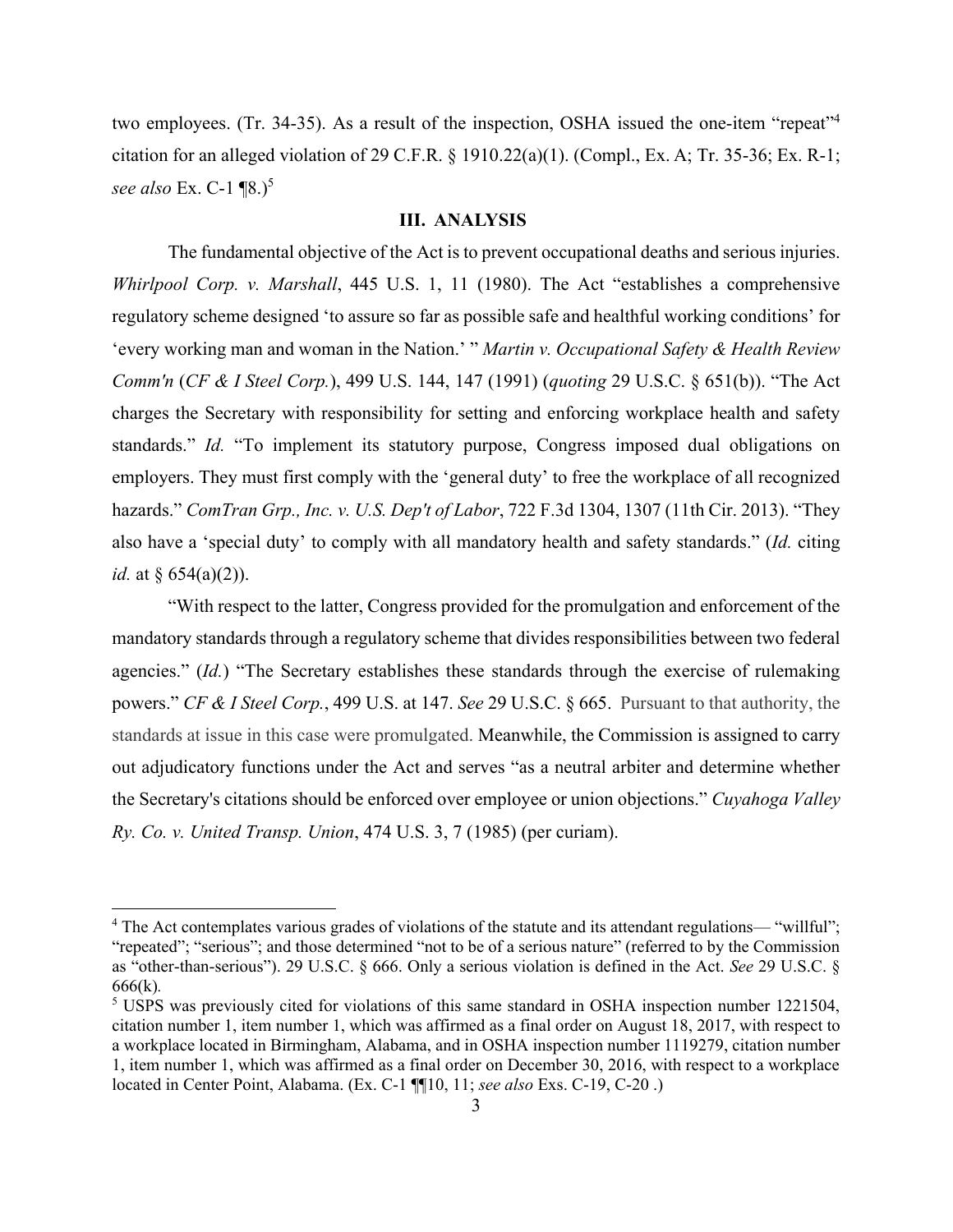two employees. (Tr. 34-35). As a result of the inspection, OSHA issued the one-item "repeat"<sup>4</sup> citation for an alleged violation of 29 C.F.R. § 1910.22(a)(1). (Compl., Ex. A; Tr. 35-36; Ex. R-1; *see also* Ex. C-1 ¶8.)<sup>5</sup>

#### **III. ANALYSIS**

The fundamental objective of the Act is to prevent occupational deaths and serious injuries. *Whirlpool Corp. v. Marshall*, 445 U.S. 1, 11 (1980). The Act "establishes a comprehensive regulatory scheme designed 'to assure so far as possible safe and healthful working conditions' for 'every working man and woman in the Nation.' " *Martin v. Occupational Safety & Health Review Comm'n* (*CF & I Steel Corp.*), 499 U.S. 144, 147 (1991) (*quoting* 29 U.S.C. § 651(b)). "The Act charges the Secretary with responsibility for setting and enforcing workplace health and safety standards." *Id.* "To implement its statutory purpose, Congress imposed dual obligations on employers. They must first comply with the 'general duty' to free the workplace of all recognized hazards." *ComTran Grp., Inc. v. U.S. Dep't of Labor*, 722 F.3d 1304, 1307 (11th Cir. 2013). "They also have a 'special duty' to comply with all mandatory health and safety standards." (*Id.* citing *id.* at  $\frac{654(a)(2)}{2}$ .

"With respect to the latter, Congress provided for the promulgation and enforcement of the mandatory standards through a regulatory scheme that divides responsibilities between two federal agencies." (*Id.*) "The Secretary establishes these standards through the exercise of rulemaking powers." *CF & I Steel Corp.*, 499 U.S. at 147. *See* 29 U.S.C. § 665. Pursuant to that authority, the standards at issue in this case were promulgated. Meanwhile, the Commission is assigned to carry out adjudicatory functions under the Act and serves "as a neutral arbiter and determine whether the Secretary's citations should be enforced over employee or union objections." *Cuyahoga Valley Ry. Co. v. United Transp. Union*, 474 U.S. 3, 7 (1985) (per curiam).

<sup>&</sup>lt;sup>4</sup> The Act contemplates various grades of violations of the statute and its attendant regulations— "willful"; "repeated"; "serious"; and those determined "not to be of a serious nature" (referred to by the Commission as "other-than-serious"). 29 U.S.C. § 666. Only a serious violation is defined in the Act. *See* 29 U.S.C. § 666(k)*.*

<sup>&</sup>lt;sup>5</sup> USPS was previously cited for violations of this same standard in OSHA inspection number 1221504, citation number 1, item number 1, which was affirmed as a final order on August 18, 2017, with respect to a workplace located in Birmingham, Alabama, and in OSHA inspection number 1119279, citation number 1, item number 1, which was affirmed as a final order on December 30, 2016, with respect to a workplace located in Center Point, Alabama. (Ex. C-1 ¶¶10, 11; *see also* Exs. C-19, C-20 .)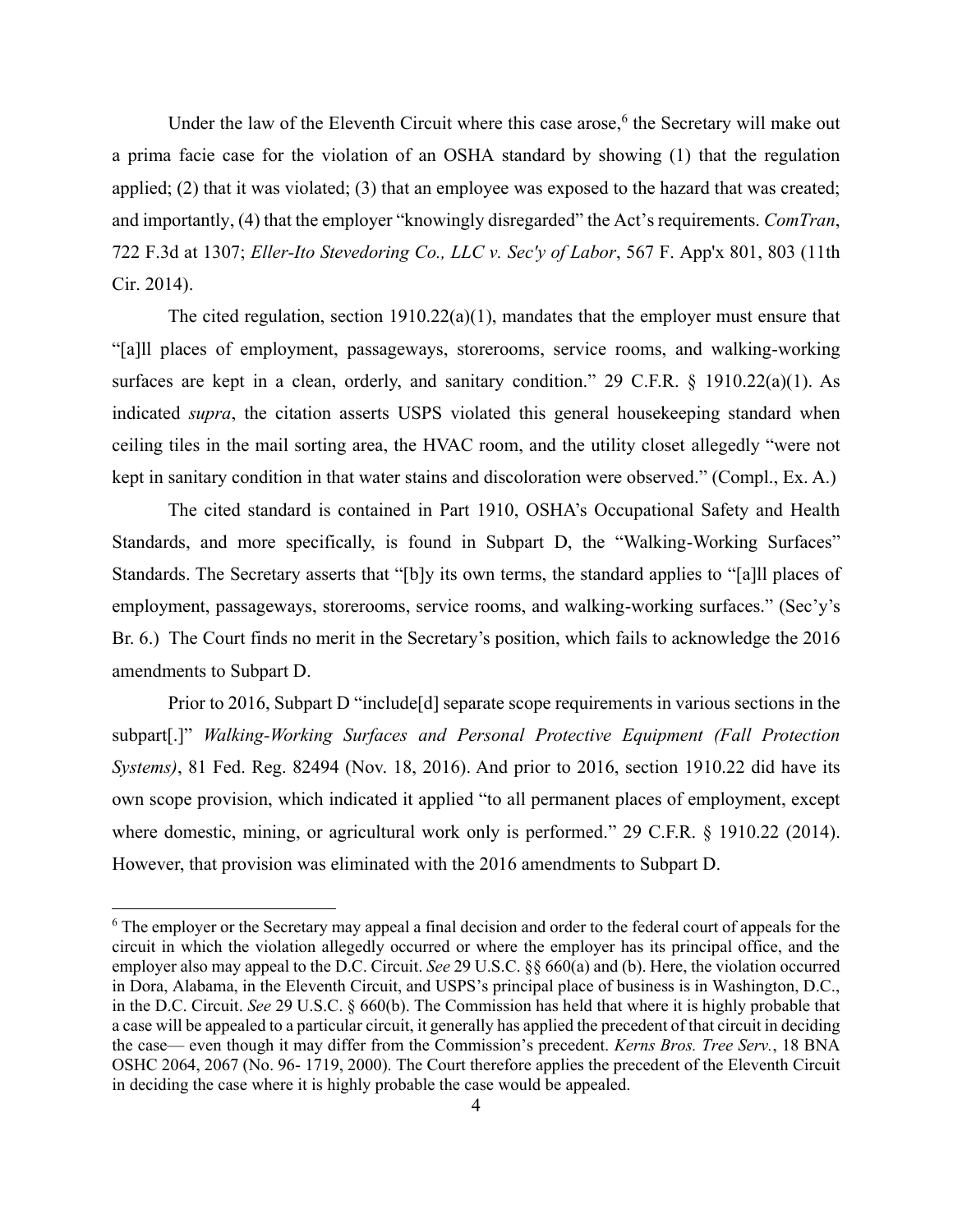Under the law of the Eleventh Circuit where this case arose, $6$  the Secretary will make out a prima facie case for the violation of an OSHA standard by showing (1) that the regulation applied; (2) that it was violated; (3) that an employee was exposed to the hazard that was created; and importantly, (4) that the employer "knowingly disregarded" the Act's requirements. *ComTran*, 722 F.3d at 1307; *Eller-Ito Stevedoring Co., LLC v. Sec'y of Labor*, 567 F. App'x 801, 803 (11th Cir. 2014).

The cited regulation, section 1910.22(a)(1), mandates that the employer must ensure that "[a]ll places of employment, passageways, storerooms, service rooms, and walking-working surfaces are kept in a clean, orderly, and sanitary condition." 29 C.F.R. § 1910.22(a)(1). As indicated *supra*, the citation asserts USPS violated this general housekeeping standard when ceiling tiles in the mail sorting area, the HVAC room, and the utility closet allegedly "were not kept in sanitary condition in that water stains and discoloration were observed." (Compl., Ex. A.)

The cited standard is contained in Part 1910, OSHA's Occupational Safety and Health Standards, and more specifically, is found in Subpart D, the "Walking-Working Surfaces" Standards. The Secretary asserts that "[b]y its own terms, the standard applies to "[a]ll places of employment, passageways, storerooms, service rooms, and walking-working surfaces." (Sec'y's Br. 6.) The Court finds no merit in the Secretary's position, which fails to acknowledge the 2016 amendments to Subpart D.

Prior to 2016, Subpart D "include[d] separate scope requirements in various sections in the subpart[.]" *Walking-Working Surfaces and Personal Protective Equipment (Fall Protection Systems)*, 81 Fed. Reg. 82494 (Nov. 18, 2016). And prior to 2016, section 1910.22 did have its own scope provision, which indicated it applied "to all permanent places of employment, except where domestic, mining, or agricultural work only is performed." 29 C.F.R. § 1910.22 (2014). However, that provision was eliminated with the 2016 amendments to Subpart D.

<sup>&</sup>lt;sup>6</sup> The employer or the Secretary may appeal a final decision and order to the federal court of appeals for the circuit in which the violation allegedly occurred or where the employer has its principal office, and the employer also may appeal to the D.C. Circuit. *See* 29 U.S.C. §§ 660(a) and (b). Here, the violation occurred in Dora, Alabama, in the Eleventh Circuit, and USPS's principal place of business is in Washington, D.C., in the D.C. Circuit. *See* 29 U.S.C. § 660(b). The Commission has held that where it is highly probable that a case will be appealed to a particular circuit, it generally has applied the precedent of that circuit in deciding the case— even though it may differ from the Commission's precedent. *Kerns Bros. Tree Serv.*, 18 BNA OSHC 2064, 2067 (No. 96- 1719, 2000). The Court therefore applies the precedent of the Eleventh Circuit in deciding the case where it is highly probable the case would be appealed.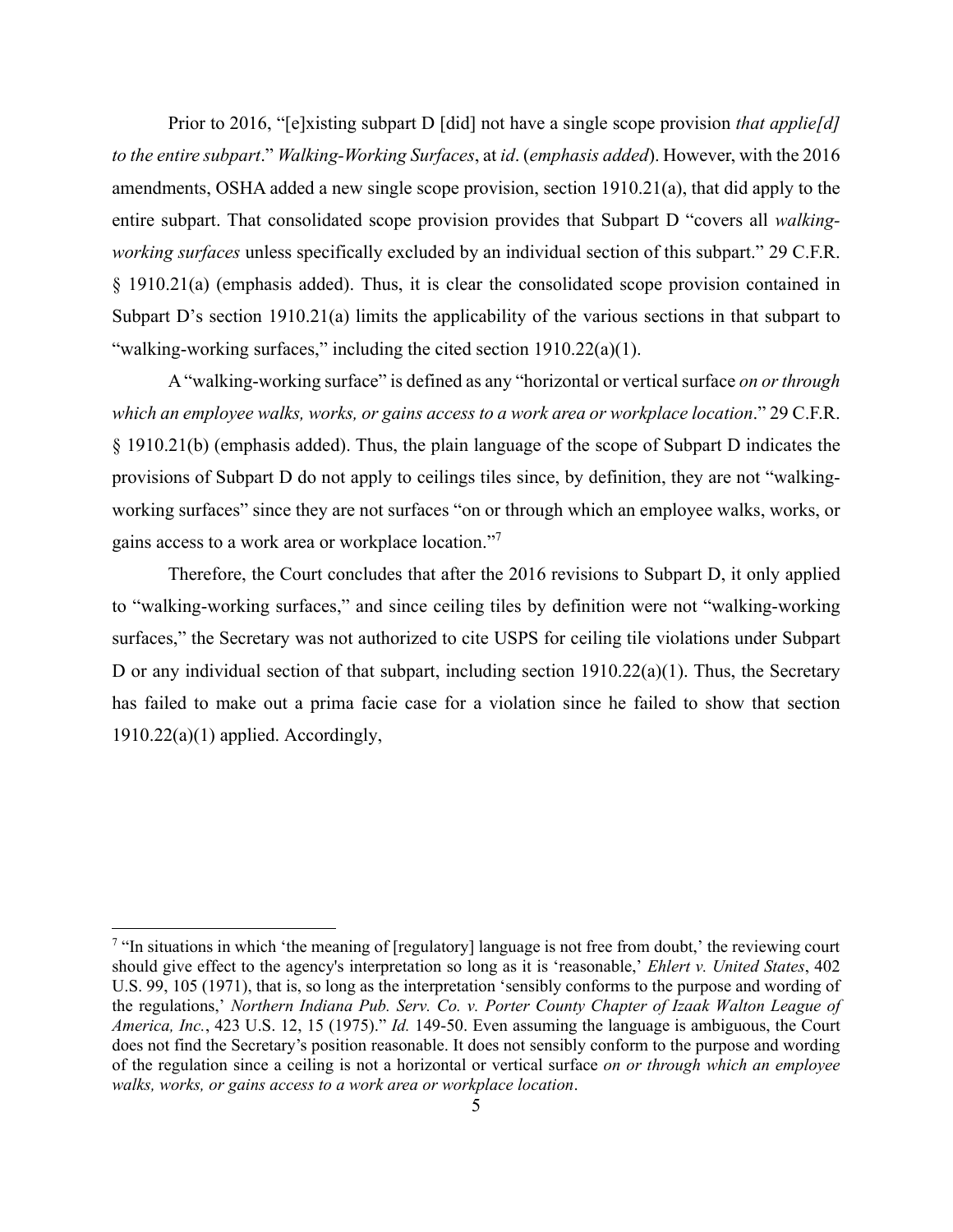Prior to 2016, "[e]xisting subpart D [did] not have a single scope provision *that applie[d] to the entire subpart*." *Walking-Working Surfaces*, at *id*. (*emphasis added*). However, with the 2016 amendments, OSHA added a new single scope provision, section 1910.21(a), that did apply to the entire subpart. That consolidated scope provision provides that Subpart D "covers all *walkingworking surfaces* unless specifically excluded by an individual section of this subpart." 29 C.F.R. § 1910.21(a) (emphasis added). Thus, it is clear the consolidated scope provision contained in Subpart D's section 1910.21(a) limits the applicability of the various sections in that subpart to "walking-working surfaces," including the cited section 1910.22(a)(1).

A"walking-working surface" is defined as any "horizontal or vertical surface *on or through which an employee walks, works, or gains access to a work area or workplace location*." 29 C.F.R. § 1910.21(b) (emphasis added). Thus, the plain language of the scope of Subpart D indicates the provisions of Subpart D do not apply to ceilings tiles since, by definition, they are not "walkingworking surfaces" since they are not surfaces "on or through which an employee walks, works, or gains access to a work area or workplace location."7

Therefore, the Court concludes that after the 2016 revisions to Subpart D, it only applied to "walking-working surfaces," and since ceiling tiles by definition were not "walking-working surfaces," the Secretary was not authorized to cite USPS for ceiling tile violations under Subpart D or any individual section of that subpart, including section 1910.22(a)(1). Thus, the Secretary has failed to make out a prima facie case for a violation since he failed to show that section  $1910.22(a)(1)$  applied. Accordingly,

 $7$  "In situations in which 'the meaning of [regulatory] language is not free from doubt,' the reviewing court should give effect to the agency's interpretation so long as it is 'reasonable,' *Ehlert v. United States*, 402 U.S. 99, 105 (1971), that is, so long as the interpretation 'sensibly conforms to the purpose and wording of the regulations,' *Northern Indiana Pub. Serv. Co. v. Porter County Chapter of Izaak Walton League of America, Inc.*, 423 U.S. 12, 15 (1975)." *Id.* 149-50. Even assuming the language is ambiguous, the Court does not find the Secretary's position reasonable. It does not sensibly conform to the purpose and wording of the regulation since a ceiling is not a horizontal or vertical surface *on or through which an employee walks, works, or gains access to a work area or workplace location*.